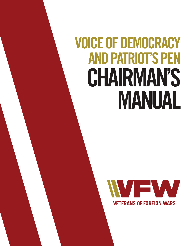# **VOICE OF DEMOCRACY AND PATRIOT'S PEN CHAIRMAN'S MANUAL**

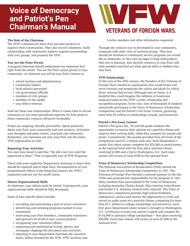## **Voice of Democracy and Patriot's Pen Chairman's Manual**

#### **The Role of the Chairman**

The VFW's chairmen do more than just plan projects to improve their communities. They also recruit volunteers, build relationships with community leaders, organize partnerships with civic groups, and promote the VFW.

#### **You Are the Point Person**

A program chairman should understand one important fact right from the outset: You are the Post's point person in your community. As chairman you will be your Post's liaison to:

- school teachers and administrators
- community leaders
- local military personnel
- city government officials
- members of civic groups
- members of the media
- your fellow veterans

Seek out these new relationships. When it comes time to recruit volunteers or you need specialized expertise for Post projects, these community contacts will prove invaluable.

Project an outgoing, friendly personality. Speak positively about your Post, your community and your projects. Articulate your thoughts and plans clearly, concisely and coherently. Remember, you represent not only your Post, but the entire VFW organization as well.

#### **Reporting Your Activities**

You may have heard it said that "the job's not over until the paperwork is done!" That is especially true of VFW Programs.

Check with your respective Department chairman to learn what should be reported and in what form. Documentation of your programmatic efforts is the thing that ensures the VFW's reputation and our not-for-profit status.

#### **Master Organizational Skills**

As chairman, your talents must be varied. Consequently, your organizational skills should be fully developed.

Some of your specific duties include:

- recruiting and maintaining a pool of active volunteers
- identifying and initiating programs needed in your community
- motivating your Post members, community volunteers and sponsors involved in your various projects
- recognizing your volunteers efforts
- organizing and maintaining records, photos and newspaper clippings the document your activities
- reporting to your Department chairman the volunteer hours, dollars donated by the VFW, VFW Auxiliary and



Cooties members and other information requested.

Through the contacts you've developed in your community, cooperate with other civic or fraternal groups. They may already be involved in community service programs you would like to undertake, or they may be eager to help with projects that you've planned. Also identify resources at your Post, talk with members and find out what special skills or hobbies they may have.

#### **VFW Scholarships**

At the turn of the 20th century, the founders of the Veterans of Foreign Wars created an organization that would honor and serve veterans and perpetuate the values and ideals for which those veterans had served. Although men of vision, it is doubtful they could imagine the millions of Americans impacted today by the VFW's youth, scholarship and recognition programs. Every year, tens of thousands of students nationwide participate in the Voice of Democracy Scholarship Competition and the Patriot's Pen Essay Contest, garnering more than \$3 million in scholarships, awards, and incentives.

#### **Patriot's Pen Essay Contest**

Patriot's Pen gives 6th, 7th and 8th grade students the opportunity to express their opinion on a patriotic theme and improve their writing skills, while they compete for awards and prizes. Cumulatively, the awards provided from all levels of the competition total \$1.2 million each year. Each Department's (state) first-place winner competes for \$55,000 in award money at the national level with the first-place national winner receiving \$5,000 and a trip to Washington, D.C. Each state winner will receive at least \$500 at the national level.

#### **Voice of Democracy Scholarship Competition**

The National Association of Broadcasters (NAB) started the Voice of Democracy Scholarship Competition in 1947. The Veterans of Foreign Wars became a national sponsor in the late 1950s and assumed sole responsibility for the program in 1961. Many notables have participated in the Voice of Democracy including journalist Charles Kuralt, Miss America Anita Bryant and former U.S. Attorney General John Ashcroft. The Voice of Democracy competition provides high school freshmen, sophomores, juniors and seniors the opportunity to write and record an audio essay on a patriotic theme, competing for more than \$2.1 million in college scholarships and incentives. Each first place Department (state) winner is brought to Washington, D.C. in February to enjoy our nation's capital and compete for \$154,000 in national college scholarships— first place receiving \$30,000. Each state winner will receive at least \$1,000 at the national level.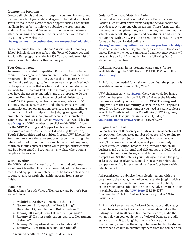#### **Promote the Programs**

Contact all schools and youth groups in your area in the spring (before the school year ends) and again in the Fall after school starts, to make them aware of these opportunities. Contact the media in September to help you publicize the programs and again in November and December to announce your winners after the judging. Encourage teachers and other youth leaders to visit the VFW web site at

**vfw.org/community/youth-and-education/youth-scholarships**.

Please announce that the National Association of Secondary School Principals has placed both the Voice of Democracy and Patriot's Pen programs on the NASSP National Advisory List of Contests and Activities for this coming year.

#### **Your Commitment**

To ensure a successful competition, Posts and Auxiliaries must commit knowledgeable chairmen, enthusiastic volunteers and resources to both competitions. Our goal is to increase the number of participating students every year. Approach schools in the spring because that is when most curriculum decisions are made for the coming Fall. In late summer, revisit to ensure they have the necessary materials and are prepared to do the program. Don't hesitate to involve school administrators, PTA/PTO/PSO parents, teachers, counselors, radio and TV stations, newspapers, churches and other service, civic and community groups/organizations to encourage and facilitate student participation, help with the judging and generally promote the programs. We provide score sheets, brochures, sample news releases and PSAs on **vfw.org** – you would **log in** at **vfw.org** as a VFW member, then click on My VFW and look for the **VFW Training and Support** section under the **Member Resources** column. Then click on **Citizenship Education, Youth Scholarships and Activities**. Present VFW Scholarship Programs anywhere there are groups of students who might be interested. In addition to schools and home school programs; chairman should consider church youth groups, athletic teams, and Boy Scout and Girl Scout units – any place where young people can be reached.

#### **Work Together**

The VFW chairmen, the Auxiliary chairmen and volunteers should work together. It is the responsibility of the chairman to recruit and equip their volunteers with the basic contest details to conduct a successful scholarship program from start to finish.

#### **Deadlines**

The deadlines for both Voice of Democracy and Patriot's Pen are as follows:

- 1. **Midnight, October 31**, Entries to the Post\*
- 2. **November 15**, Completion of Post judging\*\*
- 3. **December 15**, Completion of District judging\*\*
- 4. **January 10**, Completion of Department judging\*\*
- 5. **January 15**, District participation reports to Department chairman\*\*
- 6. **January 15**, Department winners to National \*
- 7. **January 31**, Department reports to National\*

#### **Order or Download Materials Early**

Order or download and print out Voice of Democracy and Patriot's Pen student entry forms early in the year so you can provide a copy to anyone who needs one. These forms explain the programs: complete rules, who can enter, how to enter, how schools can handle the program and how students and teachers can connect with a VFW Post to present their entries. The entry forms can be downloaded online at

**vfw.org/community/youth-and-education/youth-scholarships**. Anyone (students, teachers, chairmen, etc) can visit these web pages. The new themes are announced and new entry forms will be available by April 1 annually...for the following Oct. 31 student entry deadline.

Additional program items, student awards and gifts are available through the VFW Store at 833.839.8387, or online at **vfwstore.org**.

All information needed for chairmen to conduct the programs is available online now under "My VFW."

VFW chairmen can visit **vfw.org** where you would log in as a VFW member (then click on "My VFW.") Under the **Member Resources** heading you would click on **VFW Training and Suppor**t. Go to the **Community Service & Youth Programs** area. If you have any questions, or you need assistance, please e-mail the Youth Scholarships Coordinator, VFW Programs, VFW National Headquarters in Kansas City, Mo., at **youthscholarships@vfw.org** or call 816.756.3390.

#### **Judging the Contest**

For both Voice of Democracy and Patriot's Pen (at each level of competition) the suggested number of judges is five to nine (or a minimum of three). Judges should be from outside your Posts/Auxiliaries and should represent your community. Leaders from education, broadcasting, corporations, small business, and other fraternal and civic groups are ideal. Judges must not be connected in any way with the students in the competition. Set the date for your judging and invite the judges at least 90 days in advance. Remind them a week before the competition with a letter or email, and two days before with a telephone call.

Ask permission to publicize their selection (along with the program) to the media, then follow up after the judging with a thank you. Invite them to your awards event and publicly express your appreciation for their help. A judges award citation is available through the **VFW Store** 833.839.8387 (item number #4363 for Voice of Democracy and #4329 for Patriot's Pen).

All Patriot's Pen essays and Voice of Democracy audio essays should be reviewed by the chairman several days before the judging, so that small errors like too many words, audio that will not play on your equipment, a Voice of Democracy audio essay that is a bit too long/short, or a reference that inadvertently identifies them might be corrected by the student rather than a chairman eliminating them from the competition.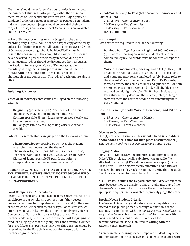Chairmen should never forget that our priority is to increase the number of students participating, rather than eliminate them. Voice of Democracy and Patriot's Pen judging may be conducted either in person or remotely. If Patriot's Pen judging is done in person, each judge should be provided their own copy of the essays and a score sheet (score sheets are available online on My VFW.)

Voice of Democracy entries must be judged on the audio recording only, judges should not see a typed copy of the essay, unless clarification is needed. All Patriot's Pen essays and Voice of Democracy recordings should be identified by number to ensure the anonymity of the competitor. Competitors should never be asked to present their essay in person during the actual judging. Judges should be discouraged from discussing the Patriot's Pen essays or Voice of Democracy audio recordings during the judging process and should have no contact with the competitors. They should not see a photograph of the competitor. The judges' decisions are always FINAL.

### **Judging Criteria**

**Voice of Democracy** contestants are judged on the following criteria:

 **Originality** (possible 30 pts.) Treatment of the theme should show imagination and human interest.

**Content** (possible 35 pts.) Ideas are expressed clearly and in an organized manner.

**Delivery** (possible 35 pts.) Speaking voice is clear and credible.

**Patriot's Pen** contestants are judged on the following criteria:

**Theme knowledge** (possible 30 pts.) Has the student researched and understood the theme? **Theme development** (possible 35 pts.) Does the essay answer relevant questions: who, what, where and why? **Clarity of ideas** (possible 35 pts.) Is the writer's interpretation of the theme presented clearly?

#### **REMEMBER ... INTERPRETATION OF THE THEME IS UP TO THE STUDENT. ENTRIES SHOULD NOT BE DISQUALIFIED BECAUSE THEIR INTERPRETATION SEEMS INCORRECT OR INAPPROPRIATE.**

#### **Local Competition Alternatives**

Recently, teachers and school leaders have shown reluctance to participate in our scholarship competition if they devote precious class time to completing entry forms and (in the case of the Voice of Democracy) record essays. For this reason, we offer teachers/youth leaders the option to simply use Voice of Democracy or Patriot's Pen as a writing exercise. The teacher/leader may submit all entries to the Post for judging or conduct a judging within the group/class and advance a winner for every fifteen (15) participants. Note: This decision should be determined by the Post chairman; working closely with the teacher or group leader.

#### **School/Youth Group to Post (both Voice of Democracy and Patriot's Pen)**

 1-15 essays – One (1) entry to Post 16-30 essays – Two (2) entries 31-45 essays – Three (3) entries **(NOTE: no limit)**

#### **Post Competition**

Post entries are required to include the following:

**Patriot's Pen**: Typed essay in English of 300-400 words (+/- 5 words -- no graphics) and a student entry form completed legibly. All words must be counted (except the theme).

**Voice of Democracy**: Typed essay, audio CD (or flash/USB drive) of the recorded essay (3-5 minutes, +/- 5 seconds), and a student entry form completed legibly. Please refer to the student Voice of Democracy and Patriot's Pen entry forms to review the complete rules and guidelines. For both programs, Posts must accept and judge all eligible entries received by midnight, October 31. If a Post decides on a later student entry deadline that is acceptable, as long as they can meet the District deadline for submitting their Post winner(s).

#### **Post to District (for both Voice of Democracy and Patriot's Pen)**

 1-15 essays – One (1) entry to District 16-30 essays – Two (2) entries 31-45 essays – Three (3) entries

#### **District to Department**

One (1) entry per District **(with student's head & shoulders photo added at this time for first-place District winner.)** *This applies to both Voice of Democracy and Patriot's Pen.* 

#### **Judging Audio**

For Voice of Democracy, the preferred audio format is Flash Drive/USBs or electronically submitted, via an audio file attached to an email (CD's will no longer be accepted). Once Flash Drives/USBs or electronically submitted audio files are received, be sure to play back the audio, to verify that the audio file plays clearly and follows submission rules.

NOTE: Posts, Districts and Departments should never reject an entry because they are unable to play an audio file. Part of the chairman's responsibility is to review the entries to ensure appropriate equipment is available to properly judge the entry.

#### **Special Needs Student Criteria**

The Voice of Democracy and Patriot's Pen competitions are offered to the public primarily through our nation's school systems. In compliance with the *Americans with Disabilities Act*, we provide "reasonable accommodation" for someone with a documented permanent disability. Requests for accommodation must be submitted in writing with the student's entry materials.

As an example, a hearing/speech-impaired student may select another student of the same age and gender to read and record